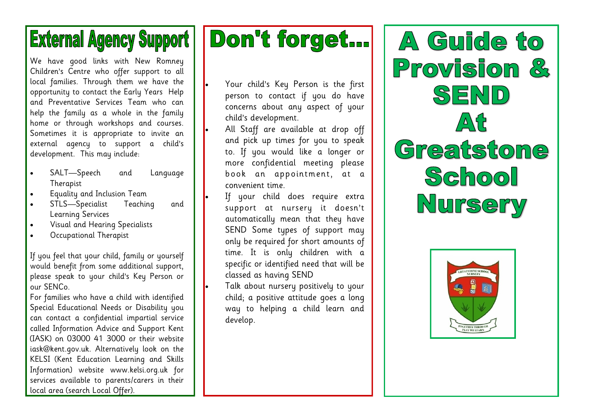## **External Agency Support**

We have good links with New Romney Children's Centre who offer support to all local families. Through them we have the opportunity to contact the Early Years Help and Preventative Services Team who can help the family as a whole in the family home or through workshops and courses. Sometimes it is appropriate to invite an external agency to support a child's development. This may include:

- SALT-Speech and Language Therapist
- Equality and Inclusion Team
- STLS—Specialist Teaching and Learning Services
- Visual and Hearing Specialists
- Occupational Therapist

If you feel that your child, family or yourself would benefit from some additional support, please speak to your child's Key Person or our SENCo.

For families who have a child with identified Special Educational Needs or Disability you can contact a confidential impartial service called Information Advice and Support Kent (IASK) on 03000 41 3000 or their website iask@kent.gov.uk. Alternatively look on the KELSI (Kent Education Learning and Skills Information) website www.kelsi.org.uk for services available to parents/carers in their local area (search Local Offer).

# Don't forget...

• Your child's Key Person is the first person to contact if you do have concerns about any aspect of your child's development.

• All Staff are available at drop off and pick up times for you to speak to. If you would like a longer or more confidential meeting please book an appointment, at a convenient time.

- If your child does require extra support at nursery it doesn't automatically mean that they have SEND Some types of support may only be required for short amounts of time. It is only children with a specific or identified need that will be classed as having SEND
- Talk about nursery positively to your child; a positive attitude goes a long way to helping a child learn and develop.